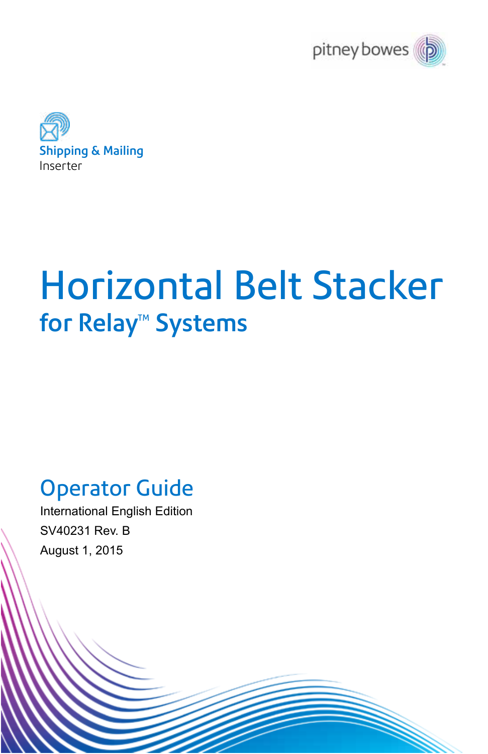



# Horizontal Belt Stacker for Relay<sup>™</sup> Systems

# Operator Guide

International English Edition SV40231 Rev. B August 1, 2015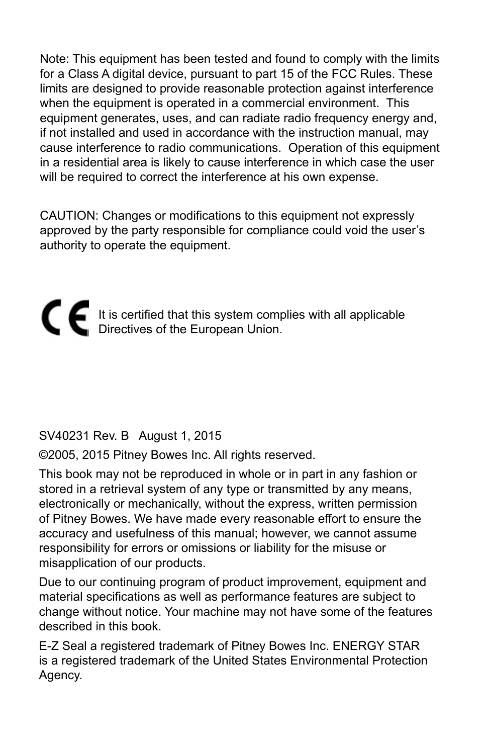Note: This equipment has been tested and found to comply with the limits for a Class A digital device, pursuant to part 15 of the FCC Rules. These limits are designed to provide reasonable protection against interference when the equipment is operated in a commercial environment. This equipment generates, uses, and can radiate radio frequency energy and, if not installed and used in accordance with the instruction manual, may cause interference to radio communications. Operation of this equipment in a residential area is likely to cause interference in which case the user will be required to correct the interference at his own expense.

CAUTION: Changes or modifications to this equipment not expressly approved by the party responsible for compliance could void the user's authority to operate the equipment.

# It is certified that this system complies with all applicable Directives of the European Union.

#### SV40231 Rev. B August 1, 2015

©2005, 2015 Pitney Bowes Inc. All rights reserved.

This book may not be reproduced in whole or in part in any fashion or stored in a retrieval system of any type or transmitted by any means, electronically or mechanically, without the express, written permission of Pitney Bowes. We have made every reasonable effort to ensure the accuracy and usefulness of this manual; however, we cannot assume responsibility for errors or omissions or liability for the misuse or misapplication of our products.

Due to our continuing program of product improvement, equipment and material specifications as well as performance features are subject to change without notice. Your machine may not have some of the features described in this book.

E-Z Seal a registered trademark of Pitney Bowes Inc. ENERGY STAR is a registered trademark of the United States Environmental Protection Agency.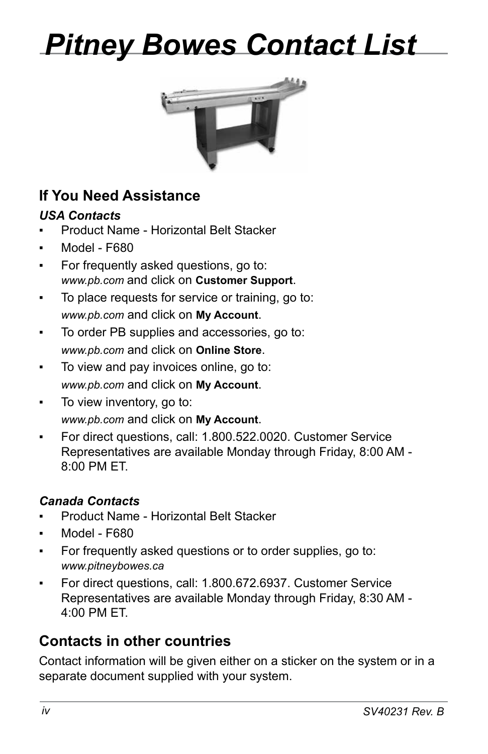# *Pitney Bowes Contact List*



## **If You Need Assistance**

#### *USA Contacts*

- **Product Name Horizontal Belt Stacker**
- ▪ Model F680
- For frequently asked questions, go to: *www.pb.com* and click on **Customer Support**.
- ▪ To place requests for service or training, go to: *www.pb.com* and click on **My Account**.
- To order PB supplies and accessories, go to: *www.pb.com* and click on **Online Store**.
- ▪ To view and pay invoices online, go to: *www.pb.com* and click on **My Account**.
- To view inventory, go to: *www.pb.com* and click on **My Account**.
- ▪ For direct questions, call: 1.800.522.0020. Customer Service Representatives are available Monday through Friday, 8:00 AM - 8:00 PM ET.

#### *Canada Contacts*

- **Product Name Horizontal Belt Stacker**
- Model F680
- **•** For frequently asked questions or to order supplies, go to: *www.pitneybowes.ca*
- For direct questions, call: 1.800.672.6937. Customer Service Representatives are available Monday through Friday, 8:30 AM - 4:00 PM ET.

## **Contacts in other countries**

Contact information will be given either on a sticker on the system or in a separate document supplied with your system.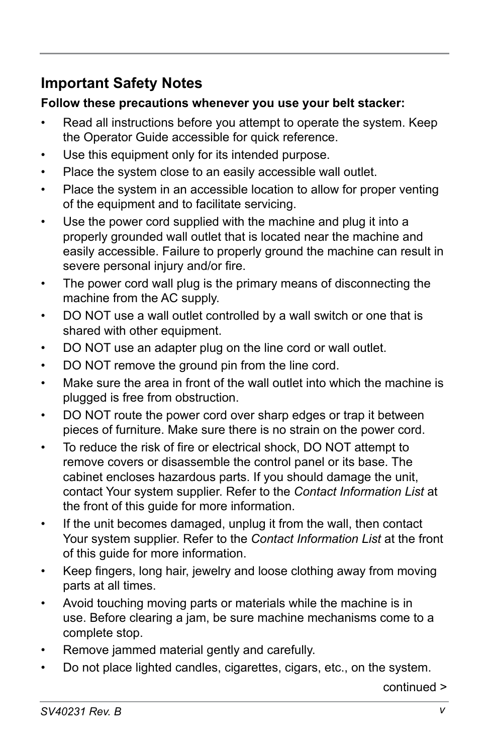## **Important Safety Notes**

#### **Follow these precautions whenever you use your belt stacker:**

- Read all instructions before you attempt to operate the system. Keep the Operator Guide accessible for quick reference.
- Use this equipment only for its intended purpose.
- Place the system close to an easily accessible wall outlet.
- Place the system in an accessible location to allow for proper venting of the equipment and to facilitate servicing.
- Use the power cord supplied with the machine and plug it into a properly grounded wall outlet that is located near the machine and easily accessible. Failure to properly ground the machine can result in severe personal injury and/or fire.
- The power cord wall plug is the primary means of disconnecting the machine from the AC supply.
- DO NOT use a wall outlet controlled by a wall switch or one that is shared with other equipment.
- DO NOT use an adapter plug on the line cord or wall outlet.
- DO NOT remove the ground pin from the line cord.
- Make sure the area in front of the wall outlet into which the machine is plugged is free from obstruction.
- DO NOT route the power cord over sharp edges or trap it between pieces of furniture. Make sure there is no strain on the power cord.
- To reduce the risk of fire or electrical shock, DO NOT attempt to remove covers or disassemble the control panel or its base. The cabinet encloses hazardous parts. If you should damage the unit, contact Your system supplier. Refer to the *Contact Information List* at the front of this guide for more information.
- If the unit becomes damaged, unplug it from the wall, then contact Your system supplier. Refer to the *Contact Information List* at the front of this guide for more information.
- Keep fingers, long hair, jewelry and loose clothing away from moving parts at all times.
- Avoid touching moving parts or materials while the machine is in use. Before clearing a jam, be sure machine mechanisms come to a complete stop.
- Remove jammed material gently and carefully.
- Do not place lighted candles, cigarettes, cigars, etc., on the system.

continued >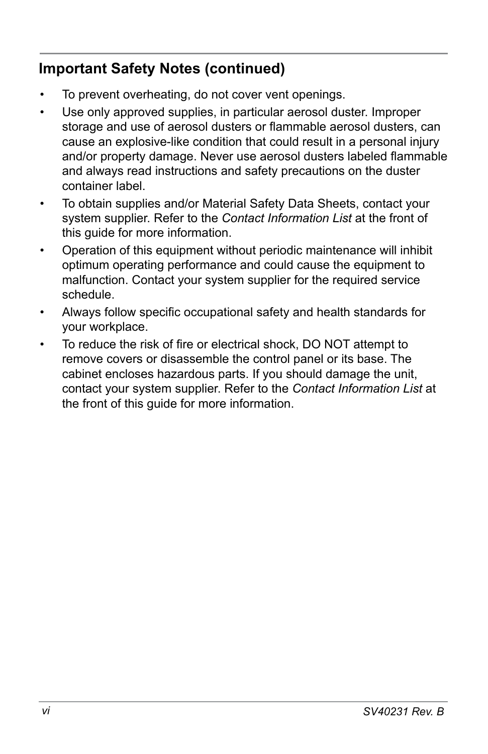## **Important Safety Notes (continued)**

- To prevent overheating, do not cover vent openings.
- Use only approved supplies, in particular aerosol duster. Improper storage and use of aerosol dusters or flammable aerosol dusters, can cause an explosive-like condition that could result in a personal injury and/or property damage. Never use aerosol dusters labeled flammable and always read instructions and safety precautions on the duster container label.
- To obtain supplies and/or Material Safety Data Sheets, contact your system supplier. Refer to the *Contact Information List* at the front of this guide for more information.
- Operation of this equipment without periodic maintenance will inhibit optimum operating performance and could cause the equipment to malfunction. Contact your system supplier for the required service schedule.
- Always follow specific occupational safety and health standards for your workplace.
- To reduce the risk of fire or electrical shock, DO NOT attempt to remove covers or disassemble the control panel or its base. The cabinet encloses hazardous parts. If you should damage the unit, contact your system supplier. Refer to the *Contact Information List* at the front of this guide for more information.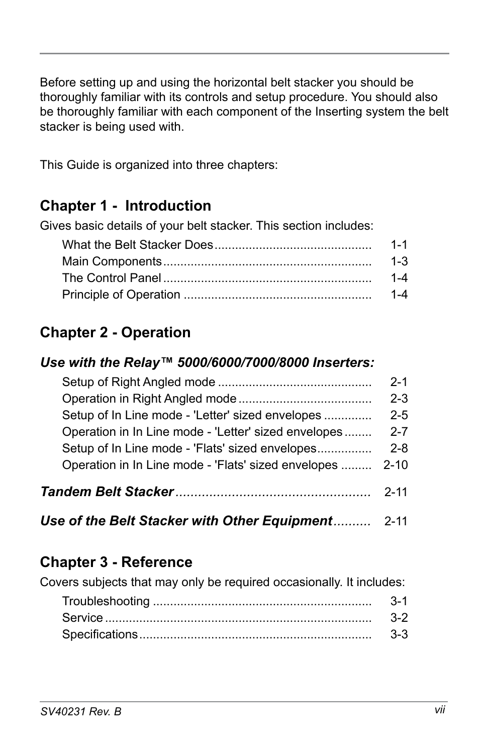Before setting up and using the horizontal belt stacker you should be thoroughly familiar with its controls and setup procedure. You should also be thoroughly familiar with each component of the Inserting system the belt stacker is being used with.

This Guide is organized into three chapters:

## **Chapter 1 - Introduction**

Gives basic details of your belt stacker. This section includes:

| $1 - 1$ |
|---------|
| $1 - 3$ |
| $1 - 4$ |
|         |

## **Chapter 2 - Operation**

#### *Use with the Relay™ 5000/6000/7000/8000 Inserters:*

|                                                      | $2-1$    |
|------------------------------------------------------|----------|
|                                                      | $2 - 3$  |
| Setup of In Line mode - 'Letter' sized envelopes     | $2 - 5$  |
| Operation in In Line mode - 'Letter' sized envelopes | $2 - 7$  |
| Setup of In Line mode - 'Flats' sized envelopes      | $2 - 8$  |
| Operation in In Line mode - 'Flats' sized envelopes  | $2 - 10$ |
|                                                      | $2 - 11$ |

| Use of the Belt Stacker with Other Equipment | 2-11 |
|----------------------------------------------|------|
|----------------------------------------------|------|

## **Chapter 3 - Reference**

Covers subjects that may only be required occasionally. It includes:

| $3-1$  |
|--------|
|        |
| $-3-3$ |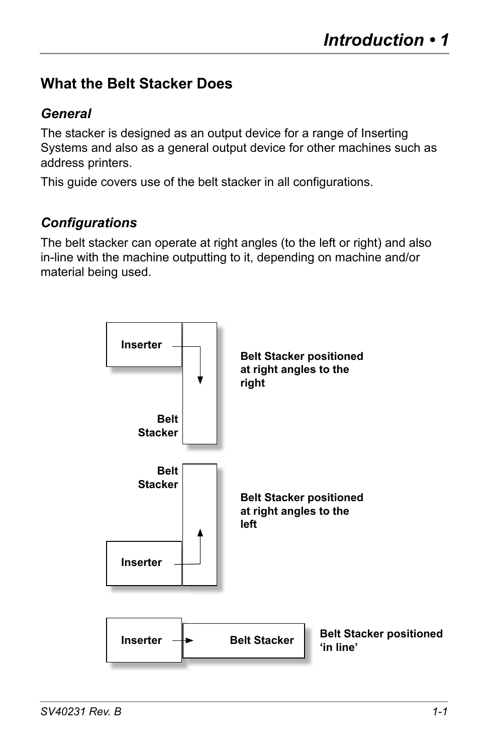## **What the Belt Stacker Does**

#### *General*

The stacker is designed as an output device for a range of Inserting Systems and also as a general output device for other machines such as address printers.

This guide covers use of the belt stacker in all configurations.

#### *Configurations*

The belt stacker can operate at right angles (to the left or right) and also in-line with the machine outputting to it, depending on machine and/or material being used.

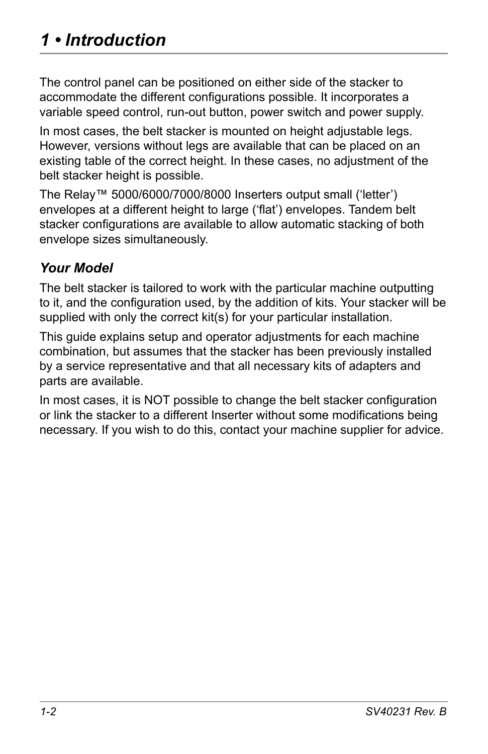## *1 • Introduction*

The control panel can be positioned on either side of the stacker to accommodate the different configurations possible. It incorporates a variable speed control, run-out button, power switch and power supply.

In most cases, the belt stacker is mounted on height adjustable legs. However, versions without legs are available that can be placed on an existing table of the correct height. In these cases, no adjustment of the belt stacker height is possible.

The Relay™ 5000/6000/7000/8000 Inserters output small ('letter') envelopes at a different height to large ('flat') envelopes. Tandem belt stacker configurations are available to allow automatic stacking of both envelope sizes simultaneously.

#### *Your Model*

The belt stacker is tailored to work with the particular machine outputting to it, and the configuration used, by the addition of kits. Your stacker will be supplied with only the correct kit(s) for your particular installation.

This guide explains setup and operator adjustments for each machine combination, but assumes that the stacker has been previously installed by a service representative and that all necessary kits of adapters and parts are available.

In most cases, it is NOT possible to change the belt stacker configuration or link the stacker to a different Inserter without some modifications being necessary. If you wish to do this, contact your machine supplier for advice.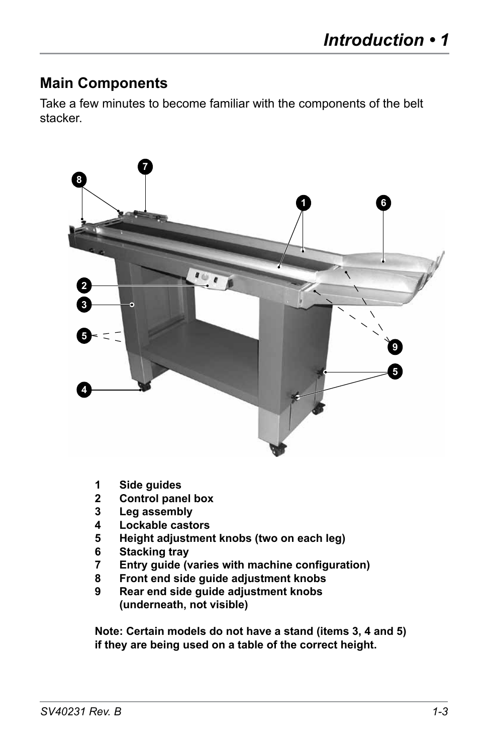### **Main Components**

Take a few minutes to become familiar with the components of the belt stacker.



- **1 Side guides**
- **2 Control panel box**
- **3 Leg assembly**
- **4 Lockable castors**
- **5 Height adjustment knobs (two on each leg)**
- **6 Stacking tray**
- **7 Entry guide (varies with machine configuration)**
- **8 Front end side guide adjustment knobs**
- **9 Rear end side guide adjustment knobs (underneath, not visible)**

**Note: Certain models do not have a stand (items 3, 4 and 5) if they are being used on a table of the correct height.**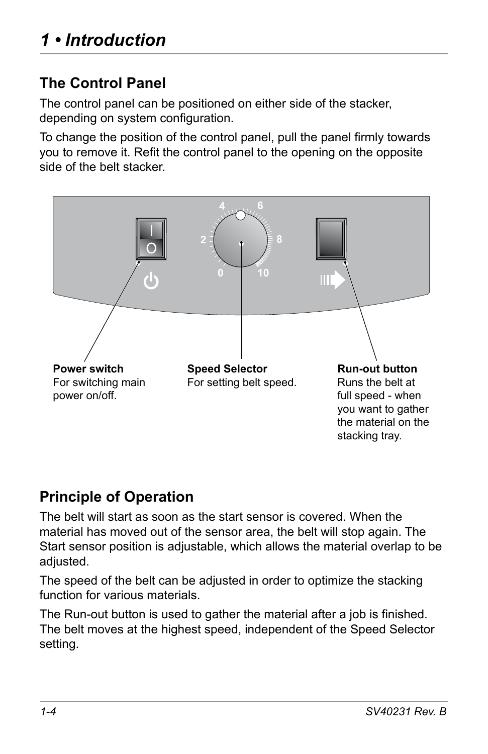## **The Control Panel**

The control panel can be positioned on either side of the stacker, depending on system configuration.

To change the position of the control panel, pull the panel firmly towards you to remove it. Refit the control panel to the opening on the opposite side of the belt stacker.



## **Principle of Operation**

The belt will start as soon as the start sensor is covered. When the material has moved out of the sensor area, the belt will stop again. The Start sensor position is adjustable, which allows the material overlap to be adjusted.

The speed of the belt can be adjusted in order to optimize the stacking function for various materials.

The Run-out button is used to gather the material after a job is finished. The belt moves at the highest speed, independent of the Speed Selector setting.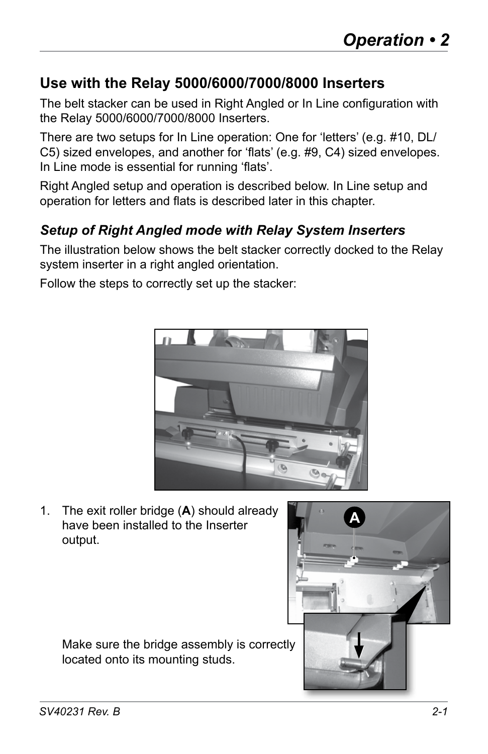## **Use with the Relay 5000/6000/7000/8000 Inserters**

The belt stacker can be used in Right Angled or In Line configuration with the Relay 5000/6000/7000/8000 Inserters.

There are two setups for In Line operation: One for 'letters' (e.g. #10, DL/ C5) sized envelopes, and another for 'flats' (e.g. #9, C4) sized envelopes. In Line mode is essential for running 'flats'.

Right Angled setup and operation is described below. In Line setup and operation for letters and flats is described later in this chapter.

#### *Setup of Right Angled mode with Relay System Inserters*

The illustration below shows the belt stacker correctly docked to the Relay system inserter in a right angled orientation.

Follow the steps to correctly set up the stacker:



1. The exit roller bridge (**A**) should already have been installed to the Inserter output.

 Make sure the bridge assembly is correctly located onto its mounting studs.

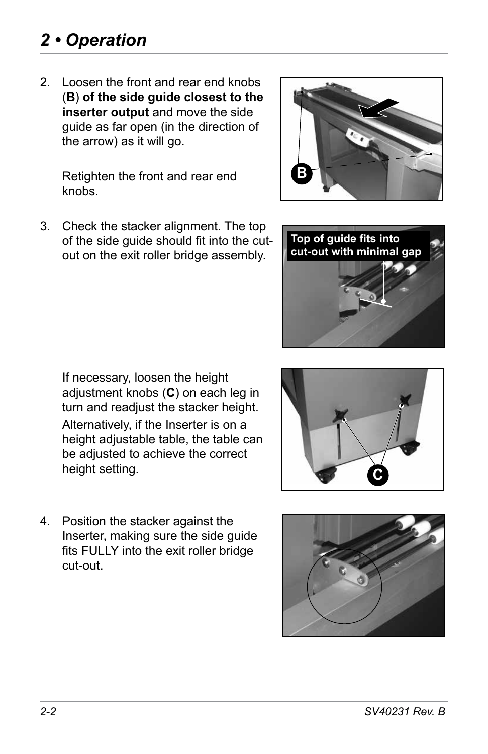# *2 • Operation*

2. Loosen the front and rear end knobs (**B**) **of the side guide closest to the inserter output** and move the side guide as far open (in the direction of the arrow) as it will go.

Retighten the front and rear end knobs.

3. Check the stacker alignment. The top of the side guide should fit into the cutout on the exit roller bridge assembly.

If necessary, loosen the height adjustment knobs (**C**) on each leg in turn and readjust the stacker height. Alternatively, if the Inserter is on a height adjustable table, the table can be adjusted to achieve the correct height setting.

4. Position the stacker against the Inserter, making sure the side guide fits FULLY into the exit roller bridge cut-out.





**Top of guide fits into cut-out with minimal gap**



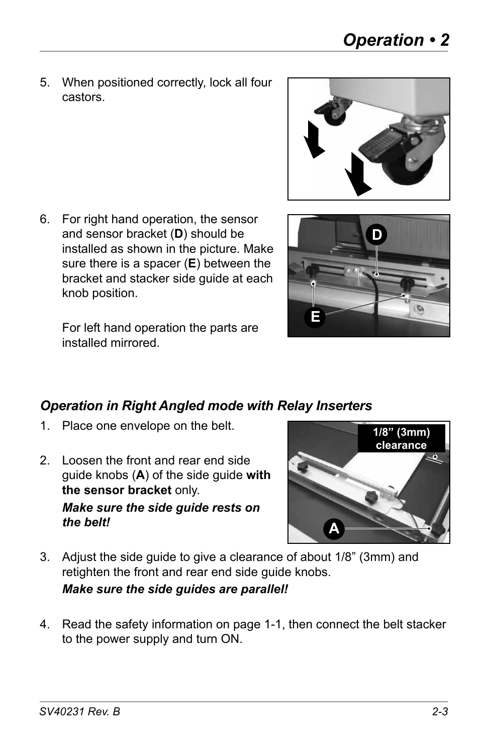5. When positioned correctly, lock all four castors.



6. For right hand operation, the sensor and sensor bracket (**D**) should be installed as shown in the picture. Make sure there is a spacer (**E**) between the bracket and stacker side guide at each knob position.

For left hand operation the parts are installed mirrored.



#### *Operation in Right Angled mode with Relay Inserters*

- 1. Place one envelope on the belt.
- 2. Loosen the front and rear end side guide knobs (**A**) of the side guide **with the sensor bracket** only. *Make sure the side guide rests on the belt!*



- 3. Adjust the side guide to give a clearance of about 1/8" (3mm) and retighten the front and rear end side guide knobs. *Make sure the side guides are parallel!*
- 4. Read the safety information on page 1-1, then connect the belt stacker to the power supply and turn ON.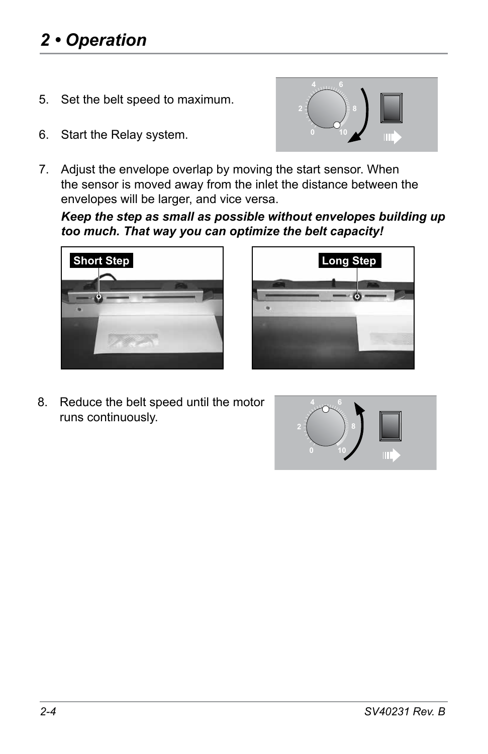# *2 • Operation*

- 5. Set the belt speed to maximum.
- 6. Start the Relay system.



7. Adjust the envelope overlap by moving the start sensor. When the sensor is moved away from the inlet the distance between the envelopes will be larger, and vice versa.

*Keep the step as small as possible without envelopes building up too much. That way you can optimize the belt capacity!*





8. Reduce the belt speed until the motor runs continuously.

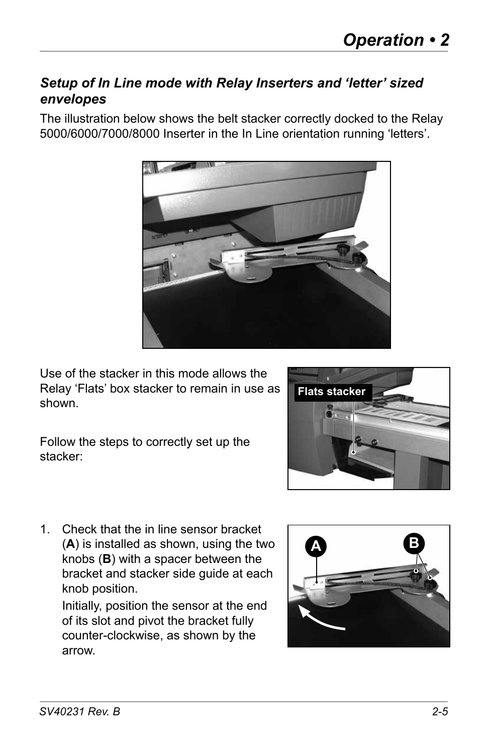#### *Setup of In Line mode with Relay Inserters and 'letter' sized envelopes*

The illustration below shows the belt stacker correctly docked to the Relay 5000/6000/7000/8000 Inserter in the In Line orientation running 'letters'.



Use of the stacker in this mode allows the Relay 'Flats' box stacker to remain in use as shown.

Follow the steps to correctly set up the stacker:



1. Check that the in line sensor bracket (**A**) is installed as shown, using the two knobs (**B**) with a spacer between the bracket and stacker side guide at each knob position.

Initially, position the sensor at the end of its slot and pivot the bracket fully counter-clockwise, as shown by the arrow.

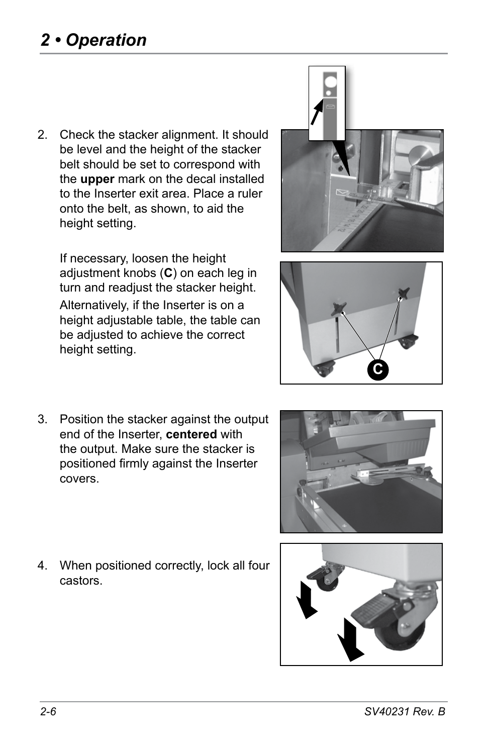# *2 • Operation*

2. Check the stacker alignment. It should be level and the height of the stacker belt should be set to correspond with the **upper** mark on the decal installed to the Inserter exit area. Place a ruler onto the belt, as shown, to aid the height setting.

If necessary, loosen the height adjustment knobs (**C**) on each leg in turn and readjust the stacker height. Alternatively, if the Inserter is on a height adjustable table, the table can be adjusted to achieve the correct height setting.





3. Position the stacker against the output end of the Inserter, **centered** with the output. Make sure the stacker is positioned firmly against the Inserter covers.



4. When positioned correctly, lock all four castors.

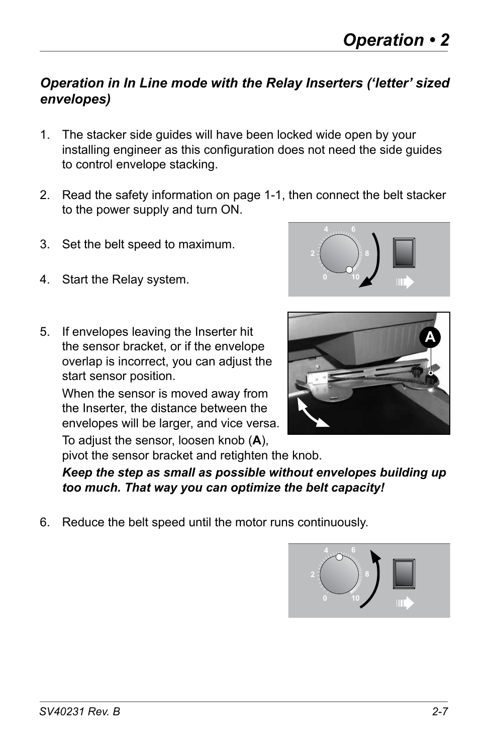#### *Operation in In Line mode with the Relay Inserters ('letter' sized envelopes)*

- 1. The stacker side guides will have been locked wide open by your installing engineer as this configuration does not need the side guides to control envelope stacking.
- 2. Read the safety information on page 1-1, then connect the belt stacker to the power supply and turn ON.
- 3. Set the belt speed to maximum.
- 4. Start the Relay system.
- 5. If envelopes leaving the Inserter hit the sensor bracket, or if the envelope overlap is incorrect, you can adjust the start sensor position.

When the sensor is moved away from the Inserter, the distance between the envelopes will be larger, and vice versa.





To adjust the sensor, loosen knob (**A**), pivot the sensor bracket and retighten the knob.

#### *Keep the step as small as possible without envelopes building up too much. That way you can optimize the belt capacity!*

6. Reduce the belt speed until the motor runs continuously.

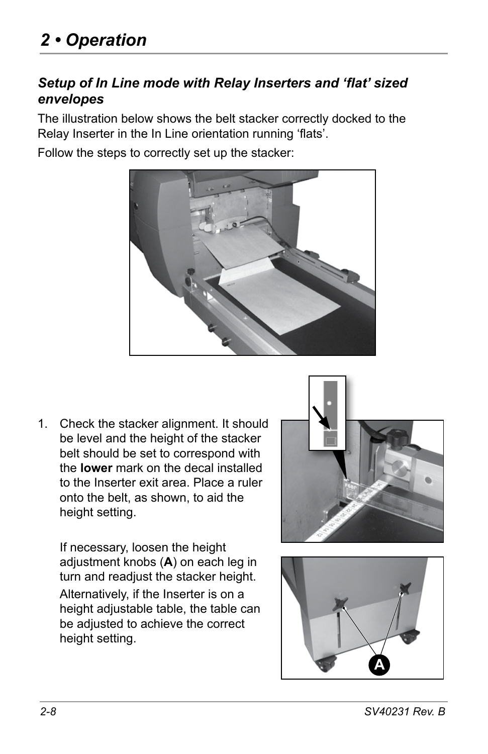#### *Setup of In Line mode with Relay Inserters and 'flat' sized envelopes*

The illustration below shows the belt stacker correctly docked to the Relay Inserter in the In Line orientation running 'flats'.

Follow the steps to correctly set up the stacker:



1. Check the stacker alignment. It should be level and the height of the stacker belt should be set to correspond with the **lower** mark on the decal installed to the Inserter exit area. Place a ruler onto the belt, as shown, to aid the height setting.



If necessary, loosen the height adjustment knobs (**A**) on each leg in turn and readjust the stacker height. Alternatively, if the Inserter is on a height adjustable table, the table can be adjusted to achieve the correct height setting.

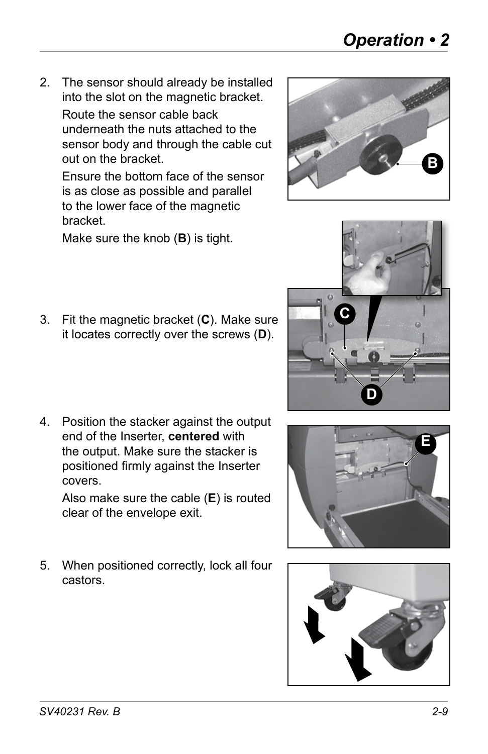- *Operation 2*
- 2. The sensor should already be installed into the slot on the magnetic bracket.

Route the sensor cable back underneath the nuts attached to the sensor body and through the cable cut out on the bracket.

Ensure the bottom face of the sensor is as close as possible and parallel to the lower face of the magnetic bracket.

 Make sure the knob (**B**) is tight.

- 3. Fit the magnetic bracket (**C**). Make sure it locates correctly over the screws (**D**).
- 4. Position the stacker against the output end of the Inserter, **centered** with the output. Make sure the stacker is positioned firmly against the Inserter covers.

Also make sure the cable (**E**) is routed clear of the envelope exit.

5. When positioned correctly, lock all four castors.



**D**

**E**





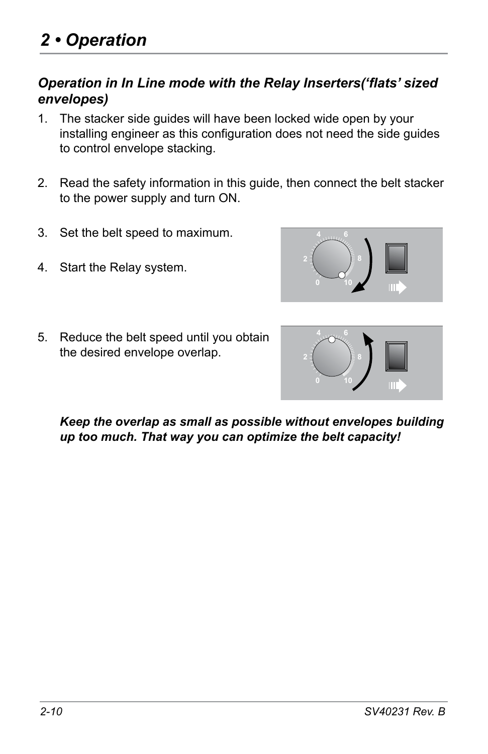#### *Operation in In Line mode with the Relay Inserters('flats' sized envelopes)*

- 1. The stacker side guides will have been locked wide open by your installing engineer as this configuration does not need the side guides to control envelope stacking.
- 2. Read the safety information in this guide, then connect the belt stacker to the power supply and turn ON.
- 3. Set the belt speed to maximum.
- 4. Start the Relay system.



5. Reduce the belt speed until you obtain the desired envelope overlap.



*Keep the overlap as small as possible without envelopes building up too much. That way you can optimize the belt capacity!*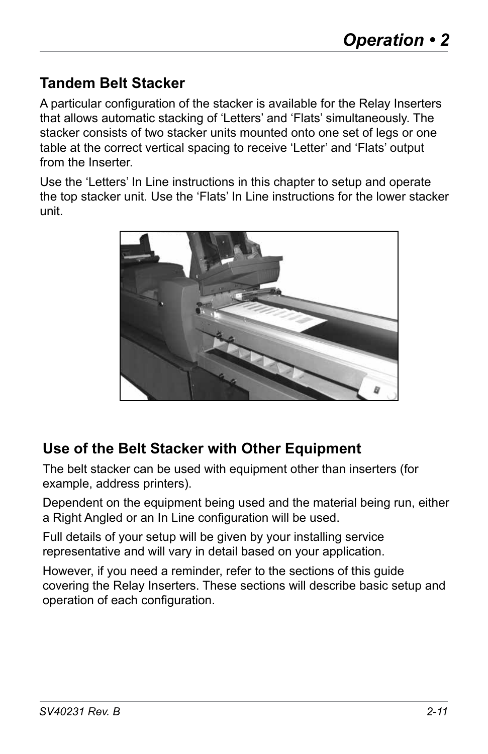## **Tandem Belt Stacker**

A particular configuration of the stacker is available for the Relay Inserters that allows automatic stacking of 'Letters' and 'Flats' simultaneously. The stacker consists of two stacker units mounted onto one set of legs or one table at the correct vertical spacing to receive 'Letter' and 'Flats' output from the Inserter.

Use the 'Letters' In Line instructions in this chapter to setup and operate the top stacker unit. Use the 'Flats' In Line instructions for the lower stacker unit.



## **Use of the Belt Stacker with Other Equipment**

The belt stacker can be used with equipment other than inserters (for example, address printers).

Dependent on the equipment being used and the material being run, either a Right Angled or an In Line configuration will be used.

Full details of your setup will be given by your installing service representative and will vary in detail based on your application.

However, if you need a reminder, refer to the sections of this guide covering the Relay Inserters. These sections will describe basic setup and operation of each configuration.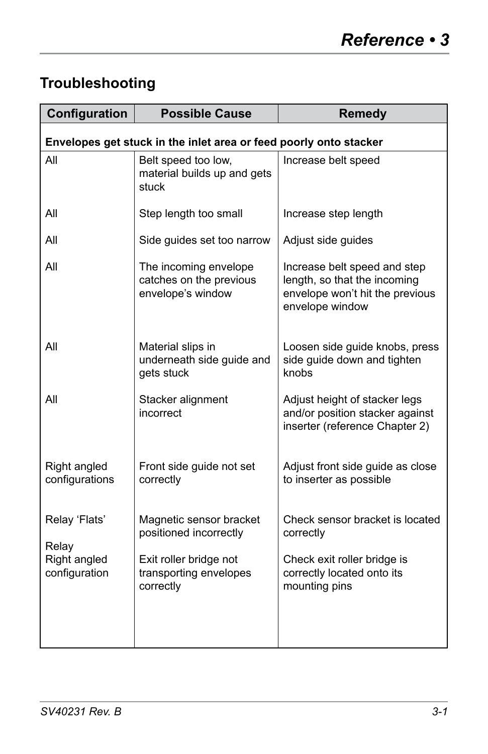# **Troubleshooting**

| Configuration                                                     | <b>Possible Cause</b>                                                 | <b>Remedy</b>                                                                                                      |  |
|-------------------------------------------------------------------|-----------------------------------------------------------------------|--------------------------------------------------------------------------------------------------------------------|--|
| Envelopes get stuck in the inlet area or feed poorly onto stacker |                                                                       |                                                                                                                    |  |
| All                                                               | Belt speed too low,<br>material builds up and gets<br>stuck           | Increase belt speed                                                                                                |  |
| All                                                               | Step length too small                                                 | Increase step length                                                                                               |  |
| All                                                               | Side guides set too narrow                                            | Adjust side guides                                                                                                 |  |
| All                                                               | The incoming envelope<br>catches on the previous<br>envelope's window | Increase belt speed and step<br>length, so that the incoming<br>envelope won't hit the previous<br>envelope window |  |
| All                                                               | Material slips in<br>underneath side guide and<br>gets stuck          | Loosen side guide knobs, press<br>side guide down and tighten<br>knobs                                             |  |
| All                                                               | Stacker alignment<br>incorrect                                        | Adjust height of stacker legs<br>and/or position stacker against<br>inserter (reference Chapter 2)                 |  |
| Right angled<br>configurations                                    | Front side guide not set<br>correctly                                 | Adjust front side guide as close<br>to inserter as possible                                                        |  |
| Relay 'Flats'<br>Relay                                            | Magnetic sensor bracket<br>positioned incorrectly                     | Check sensor bracket is located<br>correctly                                                                       |  |
| Right angled<br>configuration                                     | Exit roller bridge not<br>transporting envelopes<br>correctly         | Check exit roller bridge is<br>correctly located onto its<br>mounting pins                                         |  |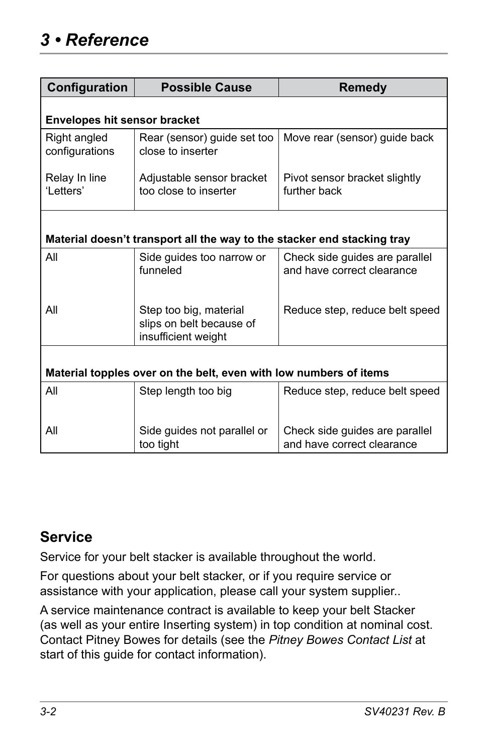| Configuration                                                           | <b>Possible Cause</b>                                                     | <b>Remedy</b>                                                |  |
|-------------------------------------------------------------------------|---------------------------------------------------------------------------|--------------------------------------------------------------|--|
| <b>Envelopes hit sensor bracket</b>                                     |                                                                           |                                                              |  |
| Right angled<br>configurations                                          | Rear (sensor) guide set too<br>close to inserter                          | Move rear (sensor) guide back                                |  |
| Relay In line<br>'Letters'                                              | Adjustable sensor bracket<br>too close to inserter                        | Pivot sensor bracket slightly<br>further back                |  |
| Material doesn't transport all the way to the stacker end stacking tray |                                                                           |                                                              |  |
|                                                                         |                                                                           |                                                              |  |
| All                                                                     | Side guides too narrow or<br>funneled                                     | Check side guides are parallel<br>and have correct clearance |  |
| All                                                                     | Step too big, material<br>slips on belt because of<br>insufficient weight | Reduce step, reduce belt speed                               |  |
|                                                                         |                                                                           |                                                              |  |
| Material topples over on the belt, even with low numbers of items       |                                                                           |                                                              |  |
| All                                                                     | Step length too big                                                       | Reduce step, reduce belt speed                               |  |
| All                                                                     | Side quides not parallel or<br>too tight                                  | Check side guides are parallel<br>and have correct clearance |  |

## **Service**

Service for your belt stacker is available throughout the world.

For questions about your belt stacker, or if you require service or assistance with your application, please call your system supplier..

A service maintenance contract is available to keep your belt Stacker (as well as your entire Inserting system) in top condition at nominal cost. Contact Pitney Bowes for details (see the *Pitney Bowes Contact List* at start of this guide for contact information).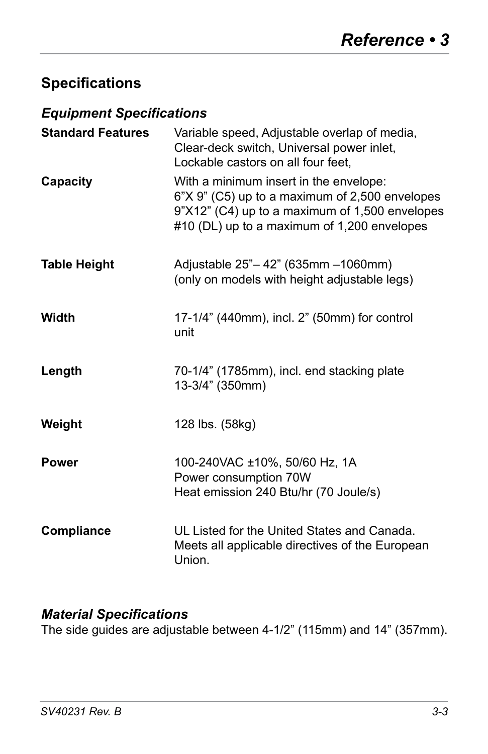## **Specifications**

#### *Equipment Specifications*

| <b>Standard Features</b> | Variable speed, Adjustable overlap of media,<br>Clear-deck switch, Universal power inlet,<br>Lockable castors on all four feet,                                                           |
|--------------------------|-------------------------------------------------------------------------------------------------------------------------------------------------------------------------------------------|
| Capacity                 | With a minimum insert in the envelope:<br>6"X 9" (C5) up to a maximum of 2,500 envelopes<br>9"X12" (C4) up to a maximum of 1,500 envelopes<br>#10 (DL) up to a maximum of 1,200 envelopes |
| <b>Table Height</b>      | Adjustable 25"-42" (635mm -1060mm)<br>(only on models with height adjustable legs)                                                                                                        |
| Width                    | 17-1/4" (440mm), incl. 2" (50mm) for control<br>unit                                                                                                                                      |
| Length                   | 70-1/4" (1785mm), incl. end stacking plate<br>13-3/4" (350mm)                                                                                                                             |
| Weight                   | 128 lbs. (58kg)                                                                                                                                                                           |
| <b>Power</b>             | 100-240VAC ±10%, 50/60 Hz, 1A<br>Power consumption 70W<br>Heat emission 240 Btu/hr (70 Joule/s)                                                                                           |
| <b>Compliance</b>        | UL Listed for the United States and Canada.<br>Meets all applicable directives of the European<br>Union.                                                                                  |

#### *Material Specifications*

The side guides are adjustable between 4-1/2" (115mm) and 14" (357mm).